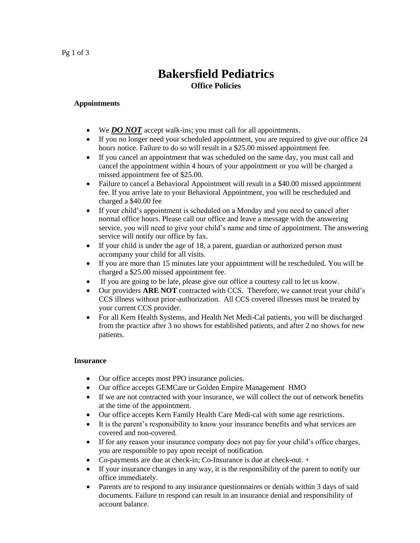## Pg 1 of 3

# **Bakersfield Pediatrics Office Policies**

### **Appointments**

- We *DO NOT* accept walk-ins; you must call for all appointments.
- If you no longer need your scheduled appointment, you are required to give our office 24 hours notice. Failure to do so will result in a \$25.00 missed appointment fee.
- If you cancel an appointment that was scheduled on the same day, you must call and cancel the appointment within 4 hours of your appointment or you will be charged a missed appointment fee of \$25.00.
- Failure to cancel a Behavioral Appointment will result in a \$40.00 missed appointment fee. If you arrive late to your Behavioral Appointment, you will be rescheduled and charged a \$40.00 fee
- If your child's appointment is scheduled on a Monday and you need to cancel after normal office hours. Please call our office and leave a message with the answering service, you will need to give your child's name and time of appointment. The answering service will notify our office by fax.
- If your child is under the age of 18, a parent, guardian or authorized person must accompany your child for all visits.
- If you are more than 15 minutes late your appointment will be rescheduled. You will be charged a \$25.00 missed appointment fee.
- If you are going to be late, please give our office a courtesy call to let us know.
- Our providers **ARE NOT** contracted with CCS. Therefore, we cannot treat your child's CCS illness without prior-authorization. All CCS covered illnesses must be treated by your current CCS provider.
- For all Kern Health Systems, and Health Net Medi-Cal patients, you will be discharged from the practice after 3 no shows for established patients, and after 2 no shows for new patients.

### **Insurance**

- Our office accepts most PPO insurance policies.
- Our office accepts GEMCare or Golden Empire Management HMO
- If we are not contracted with your insurance, we will collect the out of network benefits at the time of the appointment.
- Our office accepts Kern Family Health Care Medi-cal with some age restrictions.
- It is the parent's responsibility to know your insurance benefits and what services are covered and non-covered.
- If for any reason your insurance company does not pay for your child's office charges, you are responsible to pay upon receipt of notification.
- Co-payments are due at check-in; Co-Insurance is due at check-out. +
- If your insurance changes in any way, it is the responsibility of the parent to notify our office immediately.
- Parents are to respond to any insurance questionnaires or denials within 3 days of said documents. Failure to respond can result in an insurance denial and responsibility of account balance.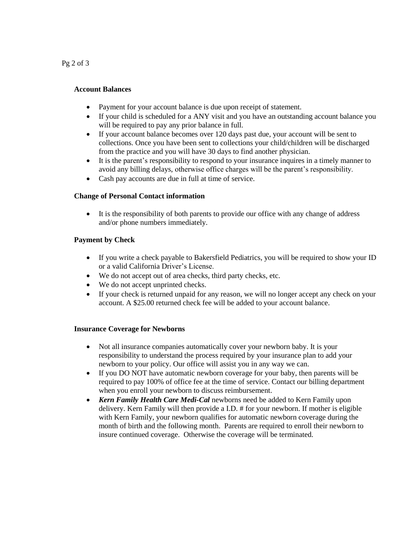Pg 2 of 3

#### **Account Balances**

- Payment for your account balance is due upon receipt of statement.
- If your child is scheduled for a ANY visit and you have an outstanding account balance you will be required to pay any prior balance in full.
- If your account balance becomes over 120 days past due, your account will be sent to collections. Once you have been sent to collections your child/children will be discharged from the practice and you will have 30 days to find another physician.
- It is the parent's responsibility to respond to your insurance inquires in a timely manner to avoid any billing delays, otherwise office charges will be the parent's responsibility.
- Cash pay accounts are due in full at time of service.

#### **Change of Personal Contact information**

• It is the responsibility of both parents to provide our office with any change of address and/or phone numbers immediately.

#### **Payment by Check**

- If you write a check payable to Bakersfield Pediatrics, you will be required to show your ID or a valid California Driver's License.
- We do not accept out of area checks, third party checks, etc.
- We do not accept unprinted checks.
- If your check is returned unpaid for any reason, we will no longer accept any check on your account. A \$25.00 returned check fee will be added to your account balance.

#### **Insurance Coverage for Newborns**

- Not all insurance companies automatically cover your newborn baby. It is your responsibility to understand the process required by your insurance plan to add your newborn to your policy. Our office will assist you in any way we can.
- If you DO NOT have automatic newborn coverage for your baby, then parents will be required to pay 100% of office fee at the time of service. Contact our billing department when you enroll your newborn to discuss reimbursement.
- *Kern Family Health Care Medi-Cal* newborns need be added to Kern Family upon delivery. Kern Family will then provide a I.D. # for your newborn. If mother is eligible with Kern Family, your newborn qualifies for automatic newborn coverage during the month of birth and the following month. Parents are required to enroll their newborn to insure continued coverage. Otherwise the coverage will be terminated.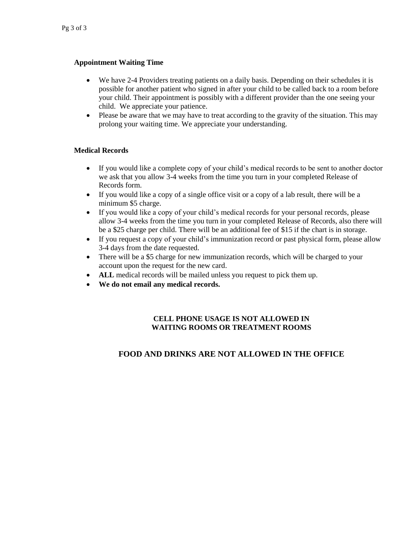# **Appointment Waiting Time**

- We have 2-4 Providers treating patients on a daily basis. Depending on their schedules it is possible for another patient who signed in after your child to be called back to a room before your child. Their appointment is possibly with a different provider than the one seeing your child. We appreciate your patience.
- Please be aware that we may have to treat according to the gravity of the situation. This may prolong your waiting time. We appreciate your understanding.

### **Medical Records**

- If you would like a complete copy of your child's medical records to be sent to another doctor we ask that you allow 3-4 weeks from the time you turn in your completed Release of Records form.
- If you would like a copy of a single office visit or a copy of a lab result, there will be a minimum \$5 charge.
- If you would like a copy of your child's medical records for your personal records, please allow 3-4 weeks from the time you turn in your completed Release of Records, also there will be a \$25 charge per child. There will be an additional fee of \$15 if the chart is in storage.
- If you request a copy of your child's immunization record or past physical form, please allow 3-4 days from the date requested.
- There will be a \$5 charge for new immunization records, which will be charged to your account upon the request for the new card.
- **ALL** medical records will be mailed unless you request to pick them up.
- **We do not email any medical records.**

# **CELL PHONE USAGE IS NOT ALLOWED IN WAITING ROOMS OR TREATMENT ROOMS**

# **FOOD AND DRINKS ARE NOT ALLOWED IN THE OFFICE**